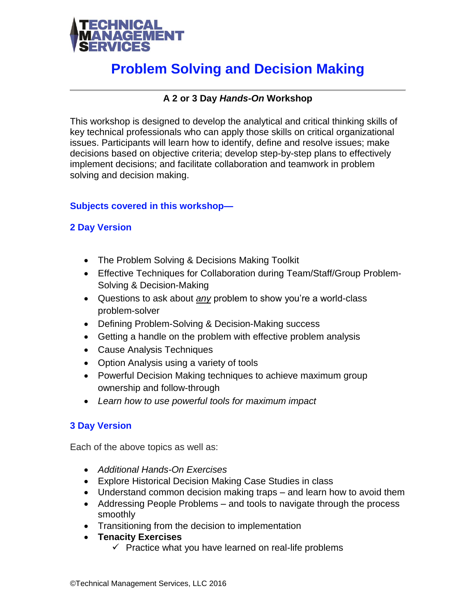

# **Problem Solving and Decision Making**

## **A 2 or 3 Day** *Hands-On* **Workshop**

This workshop is designed to develop the analytical and critical thinking skills of key technical professionals who can apply those skills on critical organizational issues. Participants will learn how to identify, define and resolve issues; make decisions based on objective criteria; develop step-by-step plans to effectively implement decisions; and facilitate collaboration and teamwork in problem solving and decision making.

## **Subjects covered in this workshop—**

## **2 Day Version**

- The Problem Solving & Decisions Making Toolkit
- Effective Techniques for Collaboration during Team/Staff/Group Problem-Solving & Decision-Making
- Questions to ask about *any* problem to show you're a world-class problem-solver
- Defining Problem-Solving & Decision-Making success
- Getting a handle on the problem with effective problem analysis
- Cause Analysis Techniques
- Option Analysis using a variety of tools
- Powerful Decision Making techniques to achieve maximum group ownership and follow-through
- *Learn how to use powerful tools for maximum impact*

## **3 Day Version**

Each of the above topics as well as:

- *Additional Hands-On Exercises*
- Explore Historical Decision Making Case Studies in class
- Understand common decision making traps and learn how to avoid them
- Addressing People Problems and tools to navigate through the process smoothly
- Transitioning from the decision to implementation
- **Tenacity Exercises**
	- $\checkmark$  Practice what you have learned on real-life problems